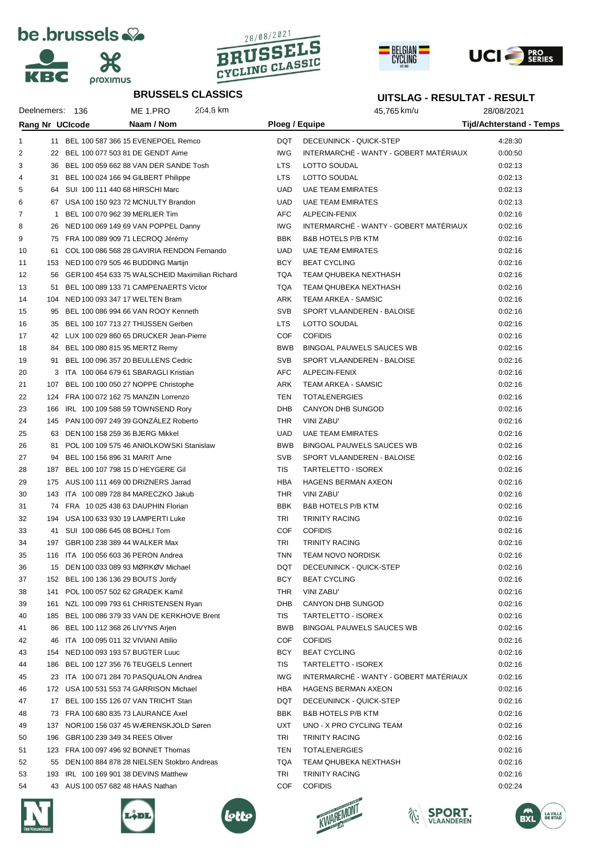







**UITSLAG - RESULTAT - RESULT**



## **BRUSSELS CLASSICS**

## Deelnemers: 136 ME 1.PRO 204,8 km 45,765 km/u 28/08/2021 **Rang Nr UCIcode Naam / Nom Ploeg / Equipe Tijd/Achterstand - Temps** 11 BEL 100 587 366 15 EVENEPOEL Remco DQT DECEUNINCK - QUICK-STEP 4:28:30 2 22 BEL 100 077 503 81 DE GENDT Aime **ING INTERMARCHÉ - WANTY - GOBERT MATÉRIA**UX 0:00:50 3 36 BEL 100 059 662 88 VAN DER SANDE Tosh LTS LOTTO SOLIDAL CONTRACT CONTRACT ON 0:02:13 31 BEL 100 024 166 94 GILBERT Philippe LTS LOTTO SOUDAL 0:02:13 5 64 SUI 100 111 440 68 HIRSCHI Marc CHANGER COMPUTED UAD UAE TEAM EMIRATES ON A 1002:13 6 67 USA 100 150 923 72 MCNULTY Brandon COME COME UAD UAE TEAM EMIRATES 6 67 USA 100 1502:13 1 BEL 100 070 962 39 MERLIER Tim AFC ALPECIN-FENIX 0:02:16 8 26 NED 100 069 149 69 VAN POPPEL Danny IWG INTERMARCHÉ - WANTY - GOBERT MATÉRIAUX 0:02:16 9 75 FRA 100 089 909 71 LECROQ Jérémy CHANG BBK BAB HOTELS P/B KTM CHANG 10:02:16 61 COL 100 086 568 28 GAVIRIA RENDON Fernando UAD UAE TEAM EMIRATES 0:02:16 11 153 NED 100 079 505 46 BUDDING Martijn BCY BEAT CYCLING 153 NED 100 0:02:16 56 GER100 454 633 75 WALSCHEID Maximilian Richard TQA TEAM QHUBEKA NEXTHASH 0:02:16 51 BEL 100 089 133 71 CAMPENAERTS Victor TQA TEAM QHUBEKA NEXTHASH 0:02:16 104 NED 100 093 347 17 WELTEN Bram ARK TEAM ARKEA - SAMSIC 0:02:16 15 95 BEL 100 086 994 66 VAN ROOY Kenneth SVB SVB SPORT VLAANDEREN - BALOISE 6:02:16 35 BEL 100 107 713 27 THIJSSEN Gerben LTS LOTTO SOUDAL 0:02:16 42 LUX 100 029 860 65 DRUCKER Jean-Pierre COF COFIDIS 0:02:16 18 84 BEL 100 080 815 95 MERTZ Remy BALL BOOK BINGOAL PAUWELS SAUCES WB 0:02:16 91 BEL 100 096 357 20 BEULLENS Cedric SVB SPORT VLAANDEREN - BALOISE 0:02:16 3 ITA 100 064 679 61 SBARAGLI Kristian AFC ALPECIN-FENIX 0:02:16 21 107 BEL 100 100 050 27 NOPPE Christophe ARK TEAM ARKEA - SAMSIC 2002:16 124 FRA 100 072 162 75 MANZIN Lorrenzo TEN TOTALENERGIES 0:02:16 166 IRL 100 109 588 59 TOWNSEND Rory DHB CANYON DHB SUNGOD 0:02:16 145 PAN 100 097 249 39 GONZÁLEZ Roberto THR VINI ZABU' 0:02:16 25 63 DEN 100 158 259 36 BJERG Mikkel New York CHAD UAD UAE TEAM EMIRATES ON A 1002:16 81 POL 100 109 575 46 ANIOLKOWSKI Stanislaw BWB BINGOAL PAUWELS SAUCES WB 0:02:16 94 BEL 100 156 896 31 MARIT Arne SVB SPORT VLAANDEREN - BALOISE 0:02:16 28 187 BEL 100 107 798 15 D´HEYGERE Gil TIS TARTELETTO - ISOREX 0:02:16 175 AUS 100 111 469 00 DRIZNERS Jarrad HBA HAGENS BERMAN AXEON 0:02:16 143 ITA 100 089 728 84 MARECZKO Jakub THR VINI ZABU' 0:02:16 31 74 FRA 10 025 438 63 DAUPHIN Florian BBK B&B HOTELS P/B KTM 6:02:16 194 USA 100 633 930 19 LAMPERTI Luke TRI TRINITY RACING 0:02:16 41 SUI 100 086 645 08 BOHLI Tom COF COFIDIS 0:02:16 197 GBR100 238 389 44 WALKER Max TRI TRINITY RACING 0:02:16 116 ITA 100 056 603 36 PERON Andrea TNN TEAM NOVO NORDISK 0:02:16 15 DEN 100 033 089 93 MØRKØV Michael DQT DECEUNINCK - QUICK-STEP 0:02:16 37 152 BEL 100 136 136 29 BOUTS Jordy BCY BEAT CYCLING 152 BEAT CYCLING 152 BEAT CYCLING 141 POL 100 057 502 62 GRADEK Kamil THR VINI ZABU' 0:02:16 161 NZL 100 099 793 61 CHRISTENSEN Ryan DHB CANYON DHB SUNGOD 0:02:16 185 BEL 100 086 379 33 VAN DE KERKHOVE Brent TIS TARTELETTO - ISOREX 0:02:16 86 BEL 100 112 368 26 LIVYNS Arjen BWB BINGOAL PAUWELS SAUCES WB 0:02:16 46 ITA 100 095 011 32 VIVIANI Attilio COF COFIDIS 0:02:16 154 NED 100 093 193 57 BUGTER Luuc BCY BEAT CYCLING 0:02:16 186 BEL 100 127 356 76 TEUGELS Lennert TIS TARTELETTO - ISOREX 0:02:16 23 ITA 100 071 284 70 PASQUALON Andrea IWG INTERMARCHÉ - WANTY - GOBERT MATÉRIAUX 0:02:16 172 USA 100 531 553 74 GARRISON Michael HBA HAGENS BERMAN AXEON 0:02:16 17 BEL 100 155 126 07 VAN TRICHT Stan DQT DECEUNINCK - QUICK-STEP 0:02:16 48 73 FRA 100 680 835 73 LAURANCE Axel BBK B&B HOTELS P/B KTM 6:02:16 137 NOR100 156 037 45 WÆRENSKJOLD Søren UXT UNO - X PRO CYCLING TEAM 0:02:16 196 GBR100 239 349 34 REES Oliver TRI TRINITY RACING 0:02:16 123 FRA 100 097 496 92 BONNET Thomas TEN TOTALENERGIES 0:02:16 55 DEN 100 884 878 28 NIELSEN Stokbro Andreas TQA TEAM QHUBEKA NEXTHASH 0:02:16 193 IRL 100 169 901 38 DEVINS Matthew TRI TRINITY RACING 0:02:16 43 AUS 100 057 682 48 HAAS Nathan COF COFIDIS 0:02:24











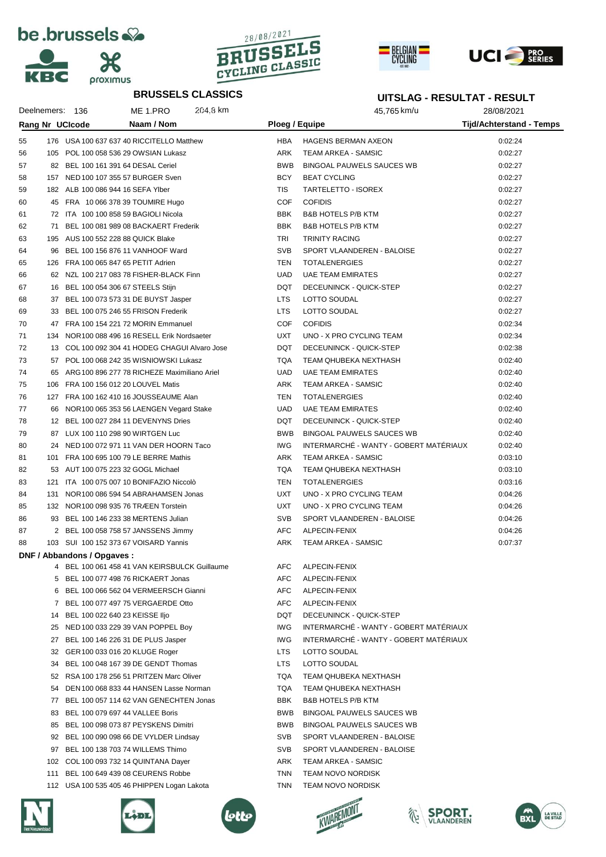









## **BRUSSELS CLASSICS**

|    |                             | <b>BRUSSELS CLASSICS</b>                        |                          | UITSLAG - RESULTAT - RESULT                       |                          |  |  |
|----|-----------------------------|-------------------------------------------------|--------------------------|---------------------------------------------------|--------------------------|--|--|
|    | Deelnemers: 136             | 204.8 km<br>ME 1.PRO                            |                          | 45,765 km/u                                       | 28/08/2021               |  |  |
|    | Rang Nr UCIcode             | Naam / Nom                                      | Ploeg / Equipe           |                                                   | Tijd/Achterstand - Temps |  |  |
|    |                             |                                                 |                          |                                                   |                          |  |  |
| 55 |                             | 176 USA 100 637 637 40 RICCITELLO Matthew       | <b>HBA</b><br>ARK        | <b>HAGENS BERMAN AXEON</b><br>TEAM ARKEA - SAMSIC | 0:02:24<br>0:02:27       |  |  |
| 56 |                             | 105 POL 100 058 536 29 OWSIAN Lukasz            |                          |                                                   |                          |  |  |
| 57 |                             | 82 BEL 100 161 391 64 DESAL Ceriel              | <b>BWB</b><br><b>BCY</b> | <b>BINGOAL PAUWELS SAUCES WB</b>                  | 0:02:27                  |  |  |
| 58 |                             | 157 NED 100 107 355 57 BURGER Sven              |                          | <b>BEAT CYCLING</b>                               | 0:02:27                  |  |  |
| 59 |                             | 182 ALB 100 086 944 16 SEFA Ylber               | <b>TIS</b>               | TARTELETTO - ISOREX                               | 0:02:27                  |  |  |
| 60 |                             | 45 FRA 10 066 378 39 TOUMIRE Hugo               | <b>COF</b>               | <b>COFIDIS</b>                                    | 0:02:27                  |  |  |
| 61 |                             | 72 ITA 100 100 858 59 BAGIOLI Nicola            | <b>BBK</b>               | <b>B&amp;B HOTELS P/B KTM</b>                     | 0:02:27                  |  |  |
| 62 |                             | 71 BEL 100 081 989 08 BACKAERT Frederik         | <b>BBK</b>               | <b>B&amp;B HOTELS P/B KTM</b>                     | 0:02:27                  |  |  |
| 63 |                             | 195 AUS 100 552 228 88 QUICK Blake              | TRI                      | <b>TRINITY RACING</b>                             | 0:02:27                  |  |  |
| 64 | 96                          | BEL 100 156 876 11 VANHOOF Ward                 | <b>SVB</b>               | SPORT VLAANDEREN - BALOISE                        | 0:02:27                  |  |  |
| 65 |                             | 126 FRA 100 065 847 65 PETIT Adrien             | <b>TEN</b>               | <b>TOTALENERGIES</b>                              | 0:02:27                  |  |  |
| 66 |                             | 62 NZL 100 217 083 78 FISHER-BLACK Finn         | <b>UAD</b>               | <b>UAE TEAM EMIRATES</b>                          | 0:02:27                  |  |  |
| 67 |                             | 16 BEL 100 054 306 67 STEELS Stijn              | DQT                      | DECEUNINCK - QUICK-STEP                           | 0:02:27                  |  |  |
| 68 |                             | 37 BEL 100 073 573 31 DE BUYST Jasper           | <b>LTS</b>               | LOTTO SOUDAL                                      | 0:02:27                  |  |  |
| 69 |                             | 33 BEL 100 075 246 55 FRISON Frederik           | <b>LTS</b>               | LOTTO SOUDAL                                      | 0:02:27                  |  |  |
| 70 |                             | 47 FRA 100 154 221 72 MORIN Emmanuel            | <b>COF</b>               | <b>COFIDIS</b>                                    | 0:02:34                  |  |  |
| 71 |                             | 134 NOR 100 088 496 16 RESELL Erik Nordsaeter   | <b>UXT</b>               | UNO - X PRO CYCLING TEAM                          | 0:02:34                  |  |  |
| 72 |                             | 13 COL 100 092 304 41 HODEG CHAGUI Alvaro Jose  | DQT                      | DECEUNINCK - QUICK-STEP                           | 0:02:38                  |  |  |
| 73 |                             | 57 POL 100 068 242 35 WISNIOWSKI Lukasz         | <b>TQA</b>               | TEAM QHUBEKA NEXTHASH                             | 0:02:40                  |  |  |
| 74 |                             | 65 ARG 100 896 277 78 RICHEZE Maximiliano Ariel | <b>UAD</b>               | <b>UAE TEAM EMIRATES</b>                          | 0:02:40                  |  |  |
| 75 | 106                         | FRA 100 156 012 20 LOUVEL Matis                 | ARK                      | TEAM ARKEA - SAMSIC                               | 0:02:40                  |  |  |
| 76 |                             | 127 FRA 100 162 410 16 JOUSSEAUME Alan          | TEN                      | <b>TOTALENERGIES</b>                              | 0:02:40                  |  |  |
| 77 | 66                          | NOR100 065 353 56 LAENGEN Vegard Stake          | <b>UAD</b>               | <b>UAE TEAM EMIRATES</b>                          | 0:02:40                  |  |  |
| 78 |                             | 12 BEL 100 027 284 11 DEVENYNS Dries            | DQT                      | DECEUNINCK - QUICK-STEP                           | 0:02:40                  |  |  |
| 79 |                             | 87 LUX 100 110 298 90 WIRTGEN Luc               | <b>BWB</b>               | <b>BINGOAL PAUWELS SAUCES WB</b>                  | 0:02:40                  |  |  |
| 80 |                             | 24 NED 100 072 971 11 VAN DER HOORN Taco        | <b>IWG</b>               | INTERMARCHÉ - WANTY - GOBERT MATÉRIAUX            | 0:02:40                  |  |  |
| 81 |                             | 101 FRA 100 695 100 79 LE BERRE Mathis          | ARK                      | TEAM ARKEA - SAMSIC                               | 0:03:10                  |  |  |
| 82 |                             | 53 AUT 100 075 223 32 GOGL Michael              | <b>TQA</b>               | TEAM QHUBEKA NEXTHASH                             | 0:03:10                  |  |  |
| 83 | 121                         | ITA 100 075 007 10 BONIFAZIO Niccolò            | TEN                      | <b>TOTALENERGIES</b>                              | 0:03:16                  |  |  |
| 84 | 131                         | NOR 100 086 594 54 ABRAHAMSEN Jonas             | <b>UXT</b>               | UNO - X PRO CYCLING TEAM                          | 0:04:26                  |  |  |
| 85 |                             | 132 NOR 100 098 935 76 TRÆEN Torstein           | <b>UXT</b>               | UNO - X PRO CYCLING TEAM                          | 0:04:26                  |  |  |
| 86 |                             | 93 BEL 100 146 233 38 MERTENS Julian            | <b>SVB</b>               | SPORT VLAANDEREN - BALOISE                        | 0:04:26                  |  |  |
| 87 |                             | 2 BEL 100 058 758 57 JANSSENS Jimmy             | AFC                      | ALPECIN-FENIX                                     | 0:04:26                  |  |  |
| 88 |                             | 103 SUI 100 152 373 67 VOISARD Yannis           | ARK                      | <b>TEAM ARKEA - SAMSIC</b>                        | 0:07:37                  |  |  |
|    | DNF / Abbandons / Opgaves : |                                                 |                          |                                                   |                          |  |  |
|    |                             | 4 BEL 100 061 458 41 VAN KEIRSBULCK Guillaume   | AFC                      | ALPECIN-FENIX                                     |                          |  |  |
|    | 5.                          | BEL 100 077 498 76 RICKAERT Jonas               | AFC                      | ALPECIN-FENIX                                     |                          |  |  |
|    | 6.                          | BEL 100 066 562 04 VERMEERSCH Gianni            | AFC                      | ALPECIN-FENIX                                     |                          |  |  |
|    |                             | 7 BEL 100 077 497 75 VERGAERDE Otto             | AFC                      | ALPECIN-FENIX                                     |                          |  |  |
|    | 14                          | BEL 100 022 640 23 KEISSE IIjo                  | DQT                      | DECEUNINCK - QUICK-STEP                           |                          |  |  |
|    | 25                          | NED 100 033 229 39 VAN POPPEL Boy               | <b>IWG</b>               | INTERMARCHÉ - WANTY - GOBERT MATÉRIAUX            |                          |  |  |
|    | 27                          | BEL 100 146 226 31 DE PLUS Jasper               | <b>IWG</b>               | INTERMARCHÉ - WANTY - GOBERT MATÉRIAUX            |                          |  |  |
|    | 32                          | GER 100 033 016 20 KLUGE Roger                  | <b>LTS</b>               | LOTTO SOUDAL                                      |                          |  |  |
|    | 34                          | BEL 100 048 167 39 DE GENDT Thomas              | <b>LTS</b>               | LOTTO SOUDAL                                      |                          |  |  |
|    | 52                          | RSA 100 178 256 51 PRITZEN Marc Oliver          | <b>TQA</b>               | TEAM QHUBEKA NEXTHASH                             |                          |  |  |
|    | 54                          | DEN 100 068 833 44 HANSEN Lasse Norman          | <b>TQA</b>               | TEAM QHUBEKA NEXTHASH                             |                          |  |  |
|    | 77                          | BEL 100 057 114 62 VAN GENECHTEN Jonas          | BBK                      | <b>B&amp;B HOTELS P/B KTM</b>                     |                          |  |  |
|    | 83                          | BEL 100 079 697 44 VALLEE Boris                 | BWB                      | <b>BINGOAL PAUWELS SAUCES WB</b>                  |                          |  |  |
|    | 85                          | BEL 100 098 073 87 PEYSKENS Dimitri             | BWB                      | BINGOAL PAUWELS SAUCES WB                         |                          |  |  |
|    | 92                          | BEL 100 090 098 66 DE VYLDER Lindsay            | <b>SVB</b>               | SPORT VLAANDEREN - BALOISE                        |                          |  |  |
|    | 97                          | BEL 100 138 703 74 WILLEMS Thimo                | <b>SVB</b>               | SPORT VLAANDEREN - BALOISE                        |                          |  |  |
|    | 102                         | COL 100 093 732 14 QUINTANA Dayer               | ARK                      | TEAM ARKEA - SAMSIC                               |                          |  |  |
|    | 111                         | BEL 100 649 439 08 CEURENS Robbe                | <b>TNN</b>               | <b>TEAM NOVO NORDISK</b>                          |                          |  |  |
|    |                             | 112 USA 100 535 405 46 PHIPPEN Logan Lakota     | TNN                      | <b>TEAM NOVO NORDISK</b>                          |                          |  |  |